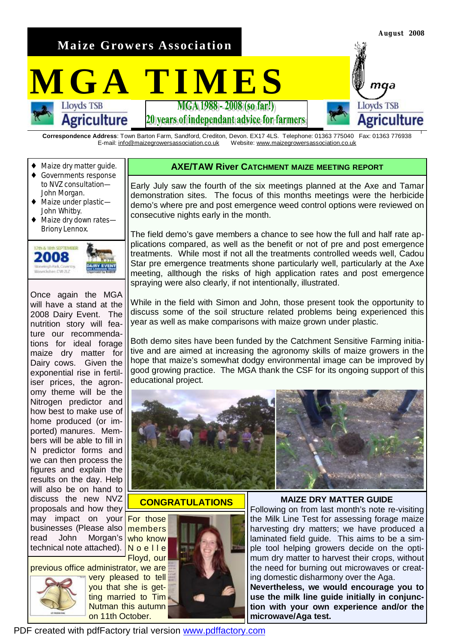**Maize Growers Association** 

# **MGATIMES**

20) vears of independant advice for farmers

**Correspondence Address**: Town Barton Farm, Sandford, Crediton, Devon. EX17 4LS. Telephone: 01363 775040 Fax: 01363 776938 E-mail: [info@maizegrowersassociation.co.uk](mailto:info@maizegrowersassociation.co.uk) Website: [www.maizegrowersassociation.co.uk](http://www.maizegrowersassociation.co.uk)

Maize dry matter quide.

**Agriculture** 

- ♦ Governments response to NVZ consultation— John Morgan.
- ♦ Maize under plastic— John Whitby.
- ♦ Maize dry down rates— Briony Lennox.



Once again the MGA will have a stand at the 2008 Dairy Event. The nutrition story will feature our recommendations for ideal forage maize dry matter for Dairy cows. Given the exponential rise in fertiliser prices, the agronomy theme will be the Nitrogen predictor and how best to make use of home produced (or imported) manures. Members will be able to fill in N predictor forms and we can then process the figures and explain the results on the day. Help will also be on hand to discuss the new NVZ proposals and how they may impact on your businesses (Please also read John Morgan's technical note attached).

previous office administrator, we are



very pleased to tell you that she is getting married to Tim Nutman this autumn on 11th October.



Early July saw the fourth of the six meetings planned at the Axe and Tamar demonstration sites. The focus of this months meetings were the herbicide demo's where pre and post emergence weed control options were reviewed on consecutive nights early in the month.

The field demo's gave members a chance to see how the full and half rate applications compared, as well as the benefit or not of pre and post emergence treatments. While most if not all the treatments controlled weeds well, Cadou Star pre emergence treatments shone particularly well, particularly at the Axe meeting, allthough the risks of high application rates and post emergence spraying were also clearly, if not intentionally, illustrated.

While in the field with Simon and John, those present took the opportunity to discuss some of the soil structure related problems being experienced this year as well as make comparisons with maize grown under plastic.

Both demo sites have been funded by the Catchment Sensitive Farming initiative and are aimed at increasing the agronomy skills of maize growers in the hope that maize's somewhat dodgy environmental image can be improved by good growing practice. The MGA thank the CSF for its ongoing support of this educational project.



#### **CONGRATULATIONS**

For those members who know No e I l e Floyd, our





**August 2008** 

maa

Agriculture

**Lloyds TSB** 

**MAIZE DRY MATTER GUIDE** 

Following on from last month's note re-visiting the Milk Line Test for assessing forage maize harvesting dry matters; we have produced a laminated field guide. This aims to be a simple tool helping growers decide on the optimum dry matter to harvest their crops, without the need for burning out microwaves or creating domestic disharmony over the Aga.

**Nevertheless, we would encourage you to use the milk line guide initially in conjunction with your own experience and/or the microwave/Aga test.** 

PDF created with pdfFactory trial version [www.pdffactory.com](http://www.pdffactory.com)